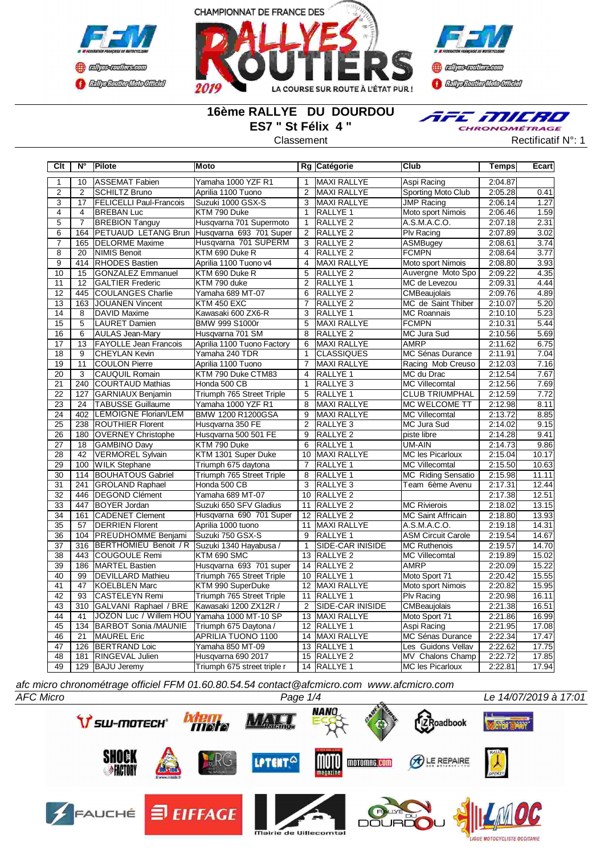



**Confederation CENTRAL MEDICATE** 

## **16ème RALLYE DU DOURDOU ES7 " St Félix 4 "**



Classement **Classement** Rectificatif N°: 1

| ASSEMAT Fabien<br>Yamaha 1000 YZF R1<br><b>MAXI RALLYE</b><br>2:04.87<br>$\mathbf{1}$<br>10<br>Aspi Racing<br>1<br>$\overline{2}$<br><b>Sporting Moto Club</b><br>$\overline{2}$<br><b>SCHILTZ Bruno</b><br>$\overline{2}$<br>2:05.28<br>Aprilia 1100 Tuono<br><b>MAXI RALLYE</b><br>$\overline{3}$<br><b>FELICELLI Paul-Francois</b><br>Suzuki 1000 GSX-S<br><b>JMP Racing</b><br>17<br>3<br>MAXI RALLYE<br>2:06.14<br>$\overline{4}$<br>KTM 790 Duke<br>Moto sport Nimois<br>$\overline{4}$<br><b>BREBAN Luc</b><br>$\mathbf{1}$<br>RALLYE 1<br>2:06.46<br>Husqvarna 701 Supermoto<br>5<br><b>BREBION Tanguy</b><br>RALLYE <sub>2</sub><br>A.S.M.A.C.O.<br>2:07.18<br>$\overline{7}$<br>$\mathbf{1}$<br>Husqvarna 693 701 Super<br>6<br>164<br><b>PETUAUD LETANG Brun</b><br>$\overline{2}$<br>RALLYE <sub>2</sub><br>Plv Racing<br>2:07.89<br>Husqvarna 701 SUPERM<br>$\overline{7}$<br>165<br><b>DELORME</b> Maxime<br>RALLYE <sub>2</sub><br>2:08.61<br>3<br>ASMBugey<br>$\overline{8}$<br>$\overline{20}$<br>KTM 690 Duke R<br><b>RALLYE 2</b><br><b>FCMPN</b><br>NIMIS Benoit<br>$\overline{4}$<br>2:08.64<br>Moto sport Nimois<br>9<br>414<br><b>RHODES Bastien</b><br>Aprilia 1100 Tuono v4<br>MAXI RALLYE<br>2:08.80<br>$\overline{4}$<br>10<br>Auvergne Moto Spo<br>15<br><b>GONZALEZ Emmanuel</b><br>KTM 690 Duke R<br>5<br><b>RALLYE 2</b><br>2:09.22<br>11<br>12<br>KTM 790 duke<br>RALLYE <sub>1</sub><br>MC de Levezou<br><b>GALTIER Frederic</b><br>2<br>2:09.31 | 0.41<br>1.27 |
|-----------------------------------------------------------------------------------------------------------------------------------------------------------------------------------------------------------------------------------------------------------------------------------------------------------------------------------------------------------------------------------------------------------------------------------------------------------------------------------------------------------------------------------------------------------------------------------------------------------------------------------------------------------------------------------------------------------------------------------------------------------------------------------------------------------------------------------------------------------------------------------------------------------------------------------------------------------------------------------------------------------------------------------------------------------------------------------------------------------------------------------------------------------------------------------------------------------------------------------------------------------------------------------------------------------------------------------------------------------------------------------------------------------------------------------------------------------------------------------|--------------|
|                                                                                                                                                                                                                                                                                                                                                                                                                                                                                                                                                                                                                                                                                                                                                                                                                                                                                                                                                                                                                                                                                                                                                                                                                                                                                                                                                                                                                                                                                   |              |
|                                                                                                                                                                                                                                                                                                                                                                                                                                                                                                                                                                                                                                                                                                                                                                                                                                                                                                                                                                                                                                                                                                                                                                                                                                                                                                                                                                                                                                                                                   |              |
|                                                                                                                                                                                                                                                                                                                                                                                                                                                                                                                                                                                                                                                                                                                                                                                                                                                                                                                                                                                                                                                                                                                                                                                                                                                                                                                                                                                                                                                                                   |              |
|                                                                                                                                                                                                                                                                                                                                                                                                                                                                                                                                                                                                                                                                                                                                                                                                                                                                                                                                                                                                                                                                                                                                                                                                                                                                                                                                                                                                                                                                                   | 1.59         |
|                                                                                                                                                                                                                                                                                                                                                                                                                                                                                                                                                                                                                                                                                                                                                                                                                                                                                                                                                                                                                                                                                                                                                                                                                                                                                                                                                                                                                                                                                   | 2.31         |
|                                                                                                                                                                                                                                                                                                                                                                                                                                                                                                                                                                                                                                                                                                                                                                                                                                                                                                                                                                                                                                                                                                                                                                                                                                                                                                                                                                                                                                                                                   | 3.02         |
|                                                                                                                                                                                                                                                                                                                                                                                                                                                                                                                                                                                                                                                                                                                                                                                                                                                                                                                                                                                                                                                                                                                                                                                                                                                                                                                                                                                                                                                                                   | 3.74         |
|                                                                                                                                                                                                                                                                                                                                                                                                                                                                                                                                                                                                                                                                                                                                                                                                                                                                                                                                                                                                                                                                                                                                                                                                                                                                                                                                                                                                                                                                                   | 3.77         |
|                                                                                                                                                                                                                                                                                                                                                                                                                                                                                                                                                                                                                                                                                                                                                                                                                                                                                                                                                                                                                                                                                                                                                                                                                                                                                                                                                                                                                                                                                   | 3.93         |
|                                                                                                                                                                                                                                                                                                                                                                                                                                                                                                                                                                                                                                                                                                                                                                                                                                                                                                                                                                                                                                                                                                                                                                                                                                                                                                                                                                                                                                                                                   | 4.35         |
|                                                                                                                                                                                                                                                                                                                                                                                                                                                                                                                                                                                                                                                                                                                                                                                                                                                                                                                                                                                                                                                                                                                                                                                                                                                                                                                                                                                                                                                                                   | 4.44         |
| 12<br>2:09.76<br>445<br>COULANGES Charlie<br>Yamaha 689 MT-07<br>6<br><b>RALLYE 2</b><br>CMBeaujolais                                                                                                                                                                                                                                                                                                                                                                                                                                                                                                                                                                                                                                                                                                                                                                                                                                                                                                                                                                                                                                                                                                                                                                                                                                                                                                                                                                             | 4.89         |
| $\overline{13}$<br>163<br><b>JOUANEN Vincent</b><br>KTM 450 EXC<br><b>RALLYE 2</b><br>2:10.07<br>$\overline{7}$<br>MC de Saint Thiber                                                                                                                                                                                                                                                                                                                                                                                                                                                                                                                                                                                                                                                                                                                                                                                                                                                                                                                                                                                                                                                                                                                                                                                                                                                                                                                                             | 5.20         |
| $\overline{14}$<br><b>DAVID Maxime</b><br>Kawasaki 600 ZX6-R<br>$\overline{3}$<br>RALLYE <sub>1</sub><br>8<br><b>MC Roannais</b><br>2:10.10                                                                                                                                                                                                                                                                                                                                                                                                                                                                                                                                                                                                                                                                                                                                                                                                                                                                                                                                                                                                                                                                                                                                                                                                                                                                                                                                       | 5.23         |
| $\overline{15}$<br>5<br><b>LAURET Damien</b><br>BMW 999 S1000r<br>5<br>MAXI RALLYE<br><b>FCMPN</b><br>2:10.31                                                                                                                                                                                                                                                                                                                                                                                                                                                                                                                                                                                                                                                                                                                                                                                                                                                                                                                                                                                                                                                                                                                                                                                                                                                                                                                                                                     | 5.44         |
| $\overline{8}$<br>MC Jura Sud<br>16<br>6<br><b>AULAS Jean-Mary</b><br>Husqvarna 701 SM<br>RALLYE <sub>2</sub><br>2:10.56                                                                                                                                                                                                                                                                                                                                                                                                                                                                                                                                                                                                                                                                                                                                                                                                                                                                                                                                                                                                                                                                                                                                                                                                                                                                                                                                                          | 5.69         |
| 17<br><b>AMRP</b><br>13<br><b>FAYOLLE Jean Francois</b><br>Aprilia 1100 Tuono Factory<br>6<br>MAXI RALLYE<br>2:11.62                                                                                                                                                                                                                                                                                                                                                                                                                                                                                                                                                                                                                                                                                                                                                                                                                                                                                                                                                                                                                                                                                                                                                                                                                                                                                                                                                              | 6.75         |
| 18<br>9<br>Yamaha 240 TDR<br>$\mathbf{1}$<br><b>CLASSIQUES</b><br>MC Sénas Durance<br>2:11.91<br><b>CHEYLAN Kevin</b>                                                                                                                                                                                                                                                                                                                                                                                                                                                                                                                                                                                                                                                                                                                                                                                                                                                                                                                                                                                                                                                                                                                                                                                                                                                                                                                                                             | 7.04         |
| Racing Mob Creuso<br>19<br>11<br>COULON Pierre<br><b>MAXI RALLYE</b><br>2:12.03<br>Aprilia 1100 Tuono<br>$\overline{7}$                                                                                                                                                                                                                                                                                                                                                                                                                                                                                                                                                                                                                                                                                                                                                                                                                                                                                                                                                                                                                                                                                                                                                                                                                                                                                                                                                           | 7.16         |
| KTM 790 Duke CTM83<br>20<br>3<br><b>CAUQUIL Romain</b><br>$\overline{4}$<br>RALLYE 1<br>MC du Drac<br>2:12.54                                                                                                                                                                                                                                                                                                                                                                                                                                                                                                                                                                                                                                                                                                                                                                                                                                                                                                                                                                                                                                                                                                                                                                                                                                                                                                                                                                     | 7.67         |
| $\overline{240}$<br>21<br>COURTAUD Mathias<br>Honda 500 CB<br>RALLYE <sub>3</sub><br><b>MC Villecomtal</b><br>2:12.56<br>$\mathbf{1}$                                                                                                                                                                                                                                                                                                                                                                                                                                                                                                                                                                                                                                                                                                                                                                                                                                                                                                                                                                                                                                                                                                                                                                                                                                                                                                                                             | 7.69         |
| $\overline{22}$<br>Triumph 765 Street Triple<br><b>CLUB TRIUMPHAL</b><br>127<br>GARNIAUX Benjamin<br>5<br><b>RALLYE 1</b><br>2:12.59                                                                                                                                                                                                                                                                                                                                                                                                                                                                                                                                                                                                                                                                                                                                                                                                                                                                                                                                                                                                                                                                                                                                                                                                                                                                                                                                              | 7.72         |
| $\overline{23}$<br>24<br><b>TABUSSE Guillaume</b><br>8<br>MAXI RALLYE<br>MC WELCOME TT<br>Yamaha 1000 YZF R1<br>2:12.98                                                                                                                                                                                                                                                                                                                                                                                                                                                                                                                                                                                                                                                                                                                                                                                                                                                                                                                                                                                                                                                                                                                                                                                                                                                                                                                                                           | 8.11         |
| 24<br>402<br>BMW 1200 R1200GSA<br>9<br>MAXI RALLYE<br>LEMOIGNE Florian/LEM<br><b>MC Villecomtal</b><br>2:13.72                                                                                                                                                                                                                                                                                                                                                                                                                                                                                                                                                                                                                                                                                                                                                                                                                                                                                                                                                                                                                                                                                                                                                                                                                                                                                                                                                                    | 8.85         |
| $\overline{25}$<br>238<br>$\overline{2}$<br>MC Jura Sud<br><b>ROUTHIER Florent</b><br>Husqvarna 350 FE<br><b>RALLYE3</b><br>2:14.02                                                                                                                                                                                                                                                                                                                                                                                                                                                                                                                                                                                                                                                                                                                                                                                                                                                                                                                                                                                                                                                                                                                                                                                                                                                                                                                                               | 9.15         |
| $\overline{26}$<br>180<br><b>OVERNEY Christophe</b><br>Husqvarna 500 501 FE<br>9<br>RALLYE <sub>2</sub><br>piste libre<br>2:14.28                                                                                                                                                                                                                                                                                                                                                                                                                                                                                                                                                                                                                                                                                                                                                                                                                                                                                                                                                                                                                                                                                                                                                                                                                                                                                                                                                 | 9.41         |
| 27<br>18<br>GAMBINO Davy<br>KTM 790 Duke<br>6<br>RALLYE 1<br>UM-AIN<br>2:14.73                                                                                                                                                                                                                                                                                                                                                                                                                                                                                                                                                                                                                                                                                                                                                                                                                                                                                                                                                                                                                                                                                                                                                                                                                                                                                                                                                                                                    | 9.86         |
| KTM 1301 Super Duke<br><b>MC les Picarloux</b><br>28<br>42<br><b>VERMOREL Sylvain</b><br>10<br>MAXI RALLYE<br>2:15.04                                                                                                                                                                                                                                                                                                                                                                                                                                                                                                                                                                                                                                                                                                                                                                                                                                                                                                                                                                                                                                                                                                                                                                                                                                                                                                                                                             | 10.17        |
| 29<br>100<br><b>WILK Stephane</b><br>Triumph 675 daytona<br>RALLYE 1<br><b>MC Villecomtal</b><br>2:15.50<br>$\overline{7}$                                                                                                                                                                                                                                                                                                                                                                                                                                                                                                                                                                                                                                                                                                                                                                                                                                                                                                                                                                                                                                                                                                                                                                                                                                                                                                                                                        | 10.63        |
| 30<br>Triumph 765 Street Triple<br>RALLYE 1<br><b>MC Riding Sensatio</b><br>2:15.98<br>114<br><b>BOUHATOUS Gabriel</b><br>8                                                                                                                                                                                                                                                                                                                                                                                                                                                                                                                                                                                                                                                                                                                                                                                                                                                                                                                                                                                                                                                                                                                                                                                                                                                                                                                                                       | 11.11        |
| 31<br>241<br><b>GROLAND Raphael</b><br>Honda 500 CB<br>3<br>RALLYE <sub>3</sub><br>Team 6ème Avenu<br>2:17.31                                                                                                                                                                                                                                                                                                                                                                                                                                                                                                                                                                                                                                                                                                                                                                                                                                                                                                                                                                                                                                                                                                                                                                                                                                                                                                                                                                     | 12.44        |
| 32<br>446   DEGOND Clément<br>Yamaha 689 MT-07<br>10<br>RALLYE <sub>2</sub><br>2:17.38                                                                                                                                                                                                                                                                                                                                                                                                                                                                                                                                                                                                                                                                                                                                                                                                                                                                                                                                                                                                                                                                                                                                                                                                                                                                                                                                                                                            | 12.51        |
| $\overline{33}$<br>447<br><b>BOYER Jordan</b><br>Suzuki 650 SFV Gladius<br>11<br><b>RALLYE 2</b><br><b>MC Rivierois</b><br>2:18.02                                                                                                                                                                                                                                                                                                                                                                                                                                                                                                                                                                                                                                                                                                                                                                                                                                                                                                                                                                                                                                                                                                                                                                                                                                                                                                                                                | 13.15        |
| 34<br>CADENET Clement<br>Husqvarna 690 701 Super<br>12 RALLYE 2<br>MC Saint Affricain<br>2:18.80<br>161                                                                                                                                                                                                                                                                                                                                                                                                                                                                                                                                                                                                                                                                                                                                                                                                                                                                                                                                                                                                                                                                                                                                                                                                                                                                                                                                                                           | 13.93        |
| 35<br>57<br><b>DERRIEN Florent</b><br>Aprilia 1000 tuono<br>MAXI RALLYE<br>A.S.M.A.C.O.<br>2:19.18<br>11                                                                                                                                                                                                                                                                                                                                                                                                                                                                                                                                                                                                                                                                                                                                                                                                                                                                                                                                                                                                                                                                                                                                                                                                                                                                                                                                                                          | 14.31        |
| Suzuki 750 GSX-S<br>36<br>104<br><b>PREUDHOMME Benjami</b><br>RALLYE 1<br><b>ASM Circuit Carole</b><br>2:19.54<br>9                                                                                                                                                                                                                                                                                                                                                                                                                                                                                                                                                                                                                                                                                                                                                                                                                                                                                                                                                                                                                                                                                                                                                                                                                                                                                                                                                               | 14.67        |
| 37<br>316<br>BERTHOMIEU Benoit / R<br>Suzuki 1340 Hayabusa /<br>SIDE-CAR INISIDE<br><b>MC Ruthenois</b><br>2:19.57<br>$\mathbf{1}$                                                                                                                                                                                                                                                                                                                                                                                                                                                                                                                                                                                                                                                                                                                                                                                                                                                                                                                                                                                                                                                                                                                                                                                                                                                                                                                                                | 14.70        |
| $\overline{38}$<br>443 COUGOULE Remi<br>KTM 690 SMC<br>13<br><b>RALLYE 2</b><br><b>MC Villecomtal</b><br>2:19.89                                                                                                                                                                                                                                                                                                                                                                                                                                                                                                                                                                                                                                                                                                                                                                                                                                                                                                                                                                                                                                                                                                                                                                                                                                                                                                                                                                  | 15.02        |
| 39<br>Husqvarna 693 701 super<br>RALLYE <sub>2</sub><br><b>AMRP</b><br>2:20.09<br>186<br>MARTEL Bastien<br>14                                                                                                                                                                                                                                                                                                                                                                                                                                                                                                                                                                                                                                                                                                                                                                                                                                                                                                                                                                                                                                                                                                                                                                                                                                                                                                                                                                     | 15.22        |
| 40<br>99<br><b>DEVILLARD Mathieu</b><br>Triumph 765 Street Triple<br>10<br>RALLYE 1<br>Moto Sport 71<br>2:20.42                                                                                                                                                                                                                                                                                                                                                                                                                                                                                                                                                                                                                                                                                                                                                                                                                                                                                                                                                                                                                                                                                                                                                                                                                                                                                                                                                                   | 15.55        |
| 41<br>47<br>KTM 990 SuperDuke<br>$\overline{12}$<br>Moto sport Nimois<br>KOELBLEN Marc<br><b>MAXI RALLYE</b><br>2:20.82                                                                                                                                                                                                                                                                                                                                                                                                                                                                                                                                                                                                                                                                                                                                                                                                                                                                                                                                                                                                                                                                                                                                                                                                                                                                                                                                                           | 15.95        |
| 42<br>93<br><b>CASTELEYN Remi</b><br>Triumph 765 Street Triple<br><b>RALLYE 1</b><br><b>Plv Racing</b><br>2:20.98<br>11                                                                                                                                                                                                                                                                                                                                                                                                                                                                                                                                                                                                                                                                                                                                                                                                                                                                                                                                                                                                                                                                                                                                                                                                                                                                                                                                                           | 16.11        |
| 43<br>310<br>GALVANI Raphael / BRE<br>Kawasaki 1200 ZX12R /<br>$\overline{2}$<br><b>SIDE-CAR INISIDE</b><br><b>CMBeaujolais</b><br>2:21.38                                                                                                                                                                                                                                                                                                                                                                                                                                                                                                                                                                                                                                                                                                                                                                                                                                                                                                                                                                                                                                                                                                                                                                                                                                                                                                                                        | 16.51        |
| 44<br>41<br>JOZON Luc / Willem HOU Yamaha 1000 MT-10 SP<br>13<br>MAXI RALLYE<br>Moto Sport 71<br>2:21.86                                                                                                                                                                                                                                                                                                                                                                                                                                                                                                                                                                                                                                                                                                                                                                                                                                                                                                                                                                                                                                                                                                                                                                                                                                                                                                                                                                          | 16.99        |
| 45<br>134<br><b>BARBOT Sonia /MAUNIE</b><br>Triumph 675 Daytona /<br>12<br><b>RALLYE 1</b><br>Aspi Racing<br>2:21.95                                                                                                                                                                                                                                                                                                                                                                                                                                                                                                                                                                                                                                                                                                                                                                                                                                                                                                                                                                                                                                                                                                                                                                                                                                                                                                                                                              | 17.08        |
| 46<br>21<br>14 MAXI RALLYE<br>MAUREL Eric<br>APRILIA TUONO 1100<br>MC Sénas Durance<br>2:22.34                                                                                                                                                                                                                                                                                                                                                                                                                                                                                                                                                                                                                                                                                                                                                                                                                                                                                                                                                                                                                                                                                                                                                                                                                                                                                                                                                                                    | 17.47        |
| 47<br>Yamaha 850 MT-09<br>RALLYE <sub>1</sub><br>Les Guidons Vellav<br>2:22.62<br>126<br><b>BERTRAND Loic</b><br>13                                                                                                                                                                                                                                                                                                                                                                                                                                                                                                                                                                                                                                                                                                                                                                                                                                                                                                                                                                                                                                                                                                                                                                                                                                                                                                                                                               | 17.75        |
| 48<br>2:22.72<br>181<br><b>RINGEVAL Julien</b><br>Husqvarna 690 2017<br>15<br><b>RALLYE 2</b><br>MV Chalons Champ                                                                                                                                                                                                                                                                                                                                                                                                                                                                                                                                                                                                                                                                                                                                                                                                                                                                                                                                                                                                                                                                                                                                                                                                                                                                                                                                                                 | 17.85        |
| 49<br>129 BAJU Jeremy<br>14 RALLYE 1<br>2:22.81<br>Triumph 675 street triple r<br><b>MC les Picarloux</b>                                                                                                                                                                                                                                                                                                                                                                                                                                                                                                                                                                                                                                                                                                                                                                                                                                                                                                                                                                                                                                                                                                                                                                                                                                                                                                                                                                         | 17.94        |

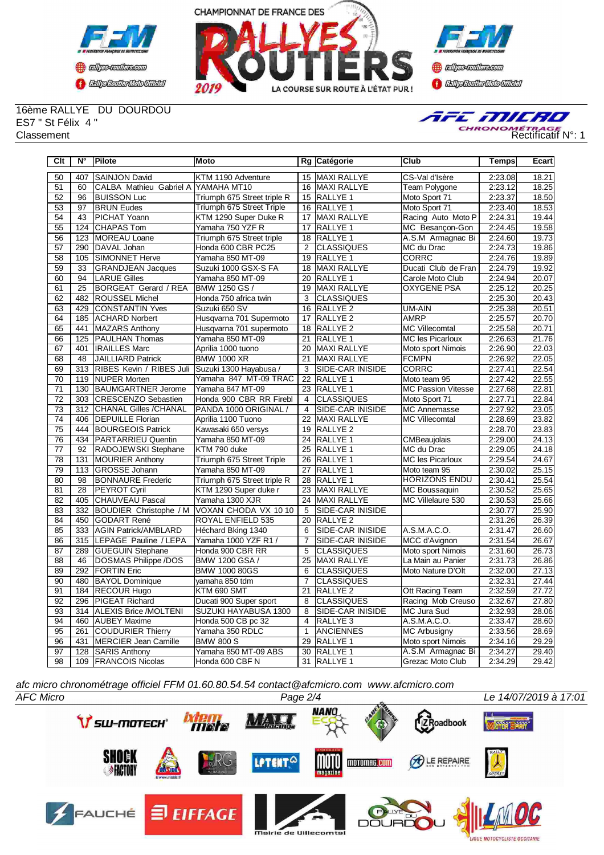



**Confidence CENTRAL MEDICATE** 

16ème RALLYE DU DOURDOU ES7 " St Félix 4 "



| Clt             | $N^{\circ}$     | <b>Pilote</b>               | Moto                        |                 | Rg Catégorie            | <b>Club</b>               | <b>Temps</b> | Ecart |
|-----------------|-----------------|-----------------------------|-----------------------------|-----------------|-------------------------|---------------------------|--------------|-------|
| 50              | 407             | <b>SAINJON David</b>        | KTM 1190 Adventure          |                 | 15 MAXI RALLYE          | CS-Val d'Isère            | 2:23.08      | 18.21 |
| 51              | 60              | CALBA Mathieu Gabriel A     | YAMAHA MT10                 |                 | 16 MAXI RALLYE          | Team Polygone             | 2:23.12      | 18.25 |
| 52              | 96              | <b>BUISSON Luc</b>          | Triumph 675 Street triple R | 15              | RALLYE <sub>1</sub>     | Moto Sport 71             | 2:23.37      | 18.50 |
| 53              | 97              | <b>BRUN Eudes</b>           | Triumph 675 Street Triple   | 16              | RALLYE <sub>1</sub>     | Moto Sport 71             | 2:23.40      | 18.53 |
| 54              | 43              | PICHAT Yoann                | KTM 1290 Super Duke R       | $\overline{17}$ | <b>MAXI RALLYE</b>      | Racing Auto Moto P        | 2:24.31      | 19.44 |
| 55              | 124             | <b>CHAPAS Tom</b>           | Yamaha 750 YZF R            | 17              | <b>RALLYE 1</b>         | MC Besançon-Gon           | 2:24.45      | 19.58 |
| 56              | 123             | <b>MOREAU Loane</b>         | Triumph 675 Street triple   | $\overline{18}$ | <b>RALLYE 1</b>         | A.S.M Armagnac Bi         | 2:24.60      | 19.73 |
| 57              | 290             | DAVAL Johan                 | Honda 600 CBR PC25          | $\overline{2}$  | <b>CLASSIQUES</b>       | MC du Drac                | 2:24.73      | 19.86 |
| $\overline{58}$ | 105             | SIMONNET Herve              | Yamaha 850 MT-09            | 19              | <b>RALLYE 1</b>         | <b>CORRC</b>              | 2:24.76      | 19.89 |
| 59              | $\overline{33}$ | <b>GRANDJEAN Jacques</b>    | Suzuki 1000 GSX-S FA        | $\overline{18}$ | <b>MAXI RALLYE</b>      | Ducati Club de Fran       | 2:24.79      | 19.92 |
| 60              | $\overline{94}$ | <b>LARUE Gilles</b>         | Yamaha 850 MT-09            | 20              | <b>RALLYE 1</b>         | Carole Moto Club          | 2:24.94      | 20.07 |
| 61              | 25              | <b>BORGEAT Gerard / REA</b> | BMW 1250 GS /               | 19              | <b>MAXI RALLYE</b>      | <b>OXYGENE PSA</b>        | 2:25.12      | 20.25 |
| 62              | 482             | <b>ROUSSEL Michel</b>       | Honda 750 africa twin       | 3               | <b>CLASSIQUES</b>       |                           | 2:25.30      | 20.43 |
| 63              | 429             | <b>CONSTANTIN Yves</b>      | Suzuki 650 SV               | 16              | RALLYE <sub>2</sub>     | UM-AIN                    | 2:25.38      | 20.51 |
| 64              | 185             | <b>ACHARD Norbert</b>       | Husgvarna 701 Supermoto     | 17              | <b>RALLYE 2</b>         | <b>AMRP</b>               | 2:25.57      | 20.70 |
| 65              | 441             | <b>MAZARS Anthony</b>       | Husgvarna 701 supermoto     | 18              | RALLYE <sub>2</sub>     | <b>MC Villecomtal</b>     | 2:25.58      | 20.71 |
| 66              | 125             | <b>PAULHAN Thomas</b>       | Yamaha 850 MT-09            | 21              | <b>RALLYE 1</b>         | <b>MC les Picarloux</b>   | 2:26.63      | 21.76 |
| 67              | 401             | <b>IRAILLES Marc</b>        | Aprilia 1000 tuono          | $\overline{20}$ | <b>MAXI RALLYE</b>      | Moto sport Nimois         | 2:26.90      | 22.03 |
| $\overline{68}$ | 48              | <b>JAILLIARD Patrick</b>    | <b>BMW 1000 XR</b>          | $\overline{21}$ | <b>MAXI RALLYE</b>      | <b>FCMPN</b>              | 2:26.92      | 22.05 |
| 69              | 313             | RIBES Kevin / RIBES Juli    | Suzuki 1300 Hayabusa /      | $\overline{3}$  | <b>SIDE-CAR INISIDE</b> | <b>CORRC</b>              | 2:27.41      | 22.54 |
| $\overline{70}$ | 119             | <b>NUPER Morten</b>         | Yamaha 847 MT-09 TRAC       | $\overline{22}$ | <b>RALLYE 1</b>         | Moto team 95              | 2:27.42      | 22.55 |
| $\overline{71}$ | 130             | <b>BAUMGARTNER Jerome</b>   | Yamaha 847 MT-09            |                 | 23 RALLYE 1             | <b>MC Passion Vitesse</b> | 2:27.68      | 22.81 |
| 72              | 303             | <b>CRESCENZO Sebastien</b>  | Honda 900 CBR RR Firebl     | $\overline{4}$  | <b>CLASSIQUES</b>       | Moto Sport 71             | 2:27.71      | 22.84 |
| 73              | 312             | CHANAL Gilles /CHANAL       | PANDA 1000 ORIGINAL /       | $\overline{4}$  | <b>SIDE-CAR INISIDE</b> | <b>MC</b> Annemasse       | 2:27.92      | 23.05 |
| $\overline{74}$ | 406             | <b>DEPUILLE Florian</b>     | Aprilia 1100 Tuono          | $\overline{22}$ | <b>MAXI RALLYE</b>      | <b>MC Villecomtal</b>     | 2:28.69      | 23.82 |
| 75              | 444             | <b>BOURGEOIS Patrick</b>    | Kawasaki 650 versys         | 19              | RALLYE <sub>2</sub>     |                           | 2:28.70      | 23.83 |
| 76              | 434             | PARTARRIEU Quentin          | Yamaha 850 MT-09            | $\overline{24}$ | <b>RALLYE 1</b>         | CMBeaujolais              | 2:29.00      | 24.13 |
| $\overline{77}$ | 92              | RADOJEWSKI Stephane         | KTM 790 duke                | 25              | <b>RALLYE 1</b>         | MC du Drac                | 2:29.05      | 24.18 |
| 78              | 131             | <b>MOURIER Anthony</b>      | Triumph 675 Street Triple   | 26              | <b>RALLYE 1</b>         | <b>MC les Picarloux</b>   | 2:29.54      | 24.67 |
| 79              | 113             | <b>GROSSE Johann</b>        | Yamaha 850 MT-09            | 27              | RALLYE 1                | Moto team 95              | 2:30.02      | 25.15 |
| 80              | 98              | <b>BONNAURE</b> Frederic    | Triumph 675 Street triple R | 28              | RALLYE 1                | <b>HORIZONS ENDU</b>      | 2:30.41      | 25.54 |
| 81              | 28              | PEYROT Cyril                | KTM 1290 Super duke r       | 23              | <b>MAXI RALLYE</b>      | <b>MC Boussaquin</b>      | 2:30.52      | 25.65 |
| 82              | 405             | <b>CHAUVEAU Pascal</b>      | Yamaha 1300 XJR             | 24              | MAXI RALLYE             | MC Villelaure 530         | 2:30.53      | 25.66 |
| 83              | 332             | BOUDIER Christophe / M      | VOXAN CHODA VX 1010         | 5               | <b>SIDE-CAR INISIDE</b> |                           | 2:30.77      | 25.90 |
| 84              | 450             | <b>GODART René</b>          | ROYAL ENFIELD 535           | 20              | RALLYE <sub>2</sub>     |                           | 2:31.26      | 26.39 |
| 85              | 333             | <b>AGIN Patrick/AMBLARD</b> | Héchard Bking 1340          | 6               | SIDE-CAR INISIDE        | A.S.M.A.C.O.              | 2:31.47      | 26.60 |
| 86              | 315             | LEPAGE Pauline / LEPA       | Yamaha 1000 YZF R1 /        | $\overline{7}$  | SIDE-CAR INISIDE        | MCC d'Avignon             | 2:31.54      | 26.67 |
| 87              | 289             | <b>GUEGUIN Stephane</b>     | Honda 900 CBR RR            | 5               | <b>CLASSIQUES</b>       | Moto sport Nimois         | 2:31.60      | 26.73 |
| 88              | 46              | DOSMAS Philippe /DOS        | BMW 1200 GSA /              | 25              | <b>MAXI RALLYE</b>      | La Main au Panier         | 2:31.73      | 26.86 |
| 89              | 292             | <b>FORTIN Eric</b>          | <b>BMW 1000 80GS</b>        | 6               | <b>CLASSIQUES</b>       | Moto Nature D'Olt         | 2:32.00      | 27.13 |
| 90              | 480             | <b>BAYOL Dominique</b>      | yamaha 850 tdm              | $\overline{7}$  | <b>CLASSIQUES</b>       |                           | 2:32.31      | 27.44 |
| 91              | 184             | <b>RECOUR Hugo</b>          | KTM 690 SMT                 | 21              | RALLYE <sub>2</sub>     | Ott Racing Team           | 2:32.59      | 27.72 |
| 92              | 296             | <b>PIGEAT Richard</b>       | Ducati 900 Super sport      | 8               | <b>CLASSIQUES</b>       | Racing Mob Creuso         | 2:32.67      | 27.80 |
| 93              | 314             | ALEXIS Brice /MOLTENI       | SUZUKI HAYABUSA 1300        | 8               | <b>SIDE-CAR INISIDE</b> | MC Jura Sud               | 2:32.93      | 28.06 |
| 94              | 460             | <b>AUBEY Maxime</b>         | Honda 500 CB pc 32          | $\overline{4}$  | RALLYE <sub>3</sub>     | A.S.M.A.C.O.              | 2:33.47      | 28.60 |
| 95              | 261             | COUDURIER Thierry           | Yamaha 350 RDLC             | $\mathbf{1}$    | <b>ANCIENNES</b>        | <b>MC Arbusigny</b>       | 2:33.56      | 28.69 |
| 96              | 431             | <b>MERCIER Jean Camille</b> | <b>BMW 800 S</b>            | 29              | RALLYE 1                | Moto sport Nimois         | 2:34.16      | 29.29 |
| 97              | 128             | <b>SARIS Anthony</b>        | Yamaha 850 MT-09 ABS        | 30              | RALLYE <sub>1</sub>     | A.S.M Armagnac Bi         | 2:34.27      | 29.40 |
| 98              | 109             | <b>FRANCOIS Nicolas</b>     | Honda 600 CBF N             | 31              | RALLYE <sub>1</sub>     | Grezac Moto Club          | 2:34.29      | 29.42 |

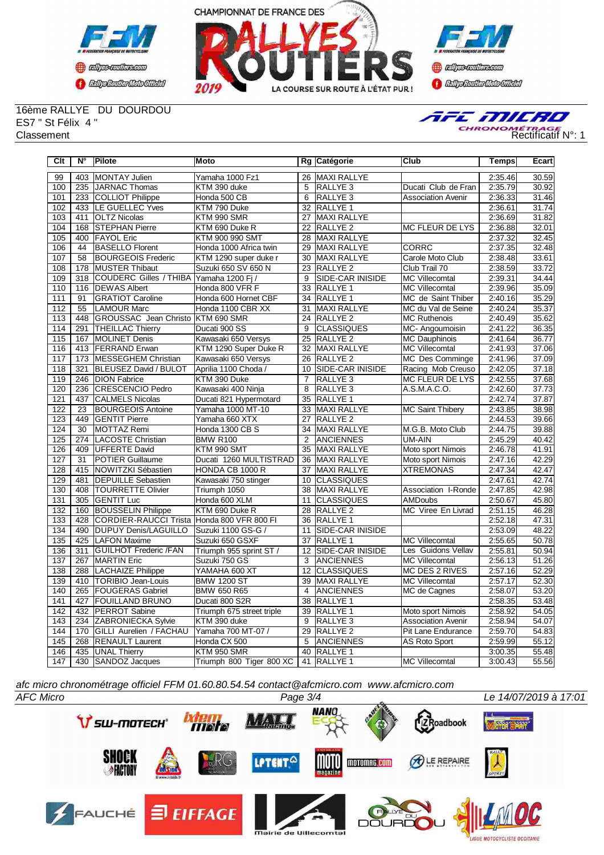





16ème RALLYE DU DOURDOU ES7 " St Félix 4 "



| Clt              | $N^{\circ}$      | <b>Pilote</b>                | Moto                      |                 | Rg Catégorie            | Club                      | <b>Temps</b> | Ecart              |
|------------------|------------------|------------------------------|---------------------------|-----------------|-------------------------|---------------------------|--------------|--------------------|
| 99               | 403              | MONTAY Julien                | Yamaha 1000 Fz1           | 26              | <b>MAXI RALLYE</b>      |                           | 2:35.46      | 30.59              |
| 100              | 235              | JARNAC Thomas                | KTM 390 duke              | 5               | <b>RALLYE3</b>          | Ducati Club de Fran       | 2:35.79      | 30.92              |
| 101              | 233              | COLLIOT Philippe             | Honda 500 CB              | 6               | RALLYE <sub>3</sub>     | <b>Association Avenir</b> | 2:36.33      | 31.46              |
| 102              | 433              | LE GUELLEC Yves              | KTM 790 Duke              | 32              | <b>RALLYE 1</b>         |                           | 2:36.61      | 31.74              |
| 103              | 411              | <b>OLTZ Nicolas</b>          | KTM 990 SMR               | 27              | <b>MAXI RALLYE</b>      |                           | 2:36.69      | 31.82              |
| 104              | 168              | <b>STEPHAN Pierre</b>        | KTM 690 Duke R            | 22              | RALLYE <sub>2</sub>     | MC FLEUR DE LYS           | 2:36.88      | 32.01              |
| 105              | 400              | <b>FAYOL Eric</b>            | KTM 900 990 SMT           | 28              | <b>MAXI RALLYE</b>      |                           | 2:37.32      | 32.45              |
| 106              | 44               | <b>BASELLO Florent</b>       | Honda 1000 Africa twin    | 29              | <b>MAXI RALLYE</b>      | <b>CORRC</b>              | 2:37.35      | 32.48              |
| 107              | 58               | <b>BOURGEOIS Frederic</b>    | KTM 1290 super duke r     | 30              | <b>MAXI RALLYE</b>      | Carole Moto Club          | 2:38.48      | 33.61              |
| 108              | 178              | <b>MUSTER Thibaut</b>        | Suzuki 650 SV 650 N       | $\overline{23}$ | <b>RALLYE 2</b>         | Club Trail 70             | 2:38.59      | 33.72              |
| 109              | $\overline{318}$ | COUDERC Gilles / THIBA       | Yamaha 1200 Fj /          | 9               | SIDE-CAR INISIDE        | <b>MC Villecomtal</b>     | 2:39.31      | 34.44              |
| 110              | 116              | <b>DEWAS Albert</b>          | Honda 800 VFR F           | 33              | <b>RALLYE 1</b>         | <b>MC Villecomtal</b>     | 2:39.96      | 35.09              |
| 111              | 91               | <b>GRATIOT Caroline</b>      | Honda 600 Hornet CBF      |                 | 34 <b>RALLYE</b> 1      | MC de Saint Thiber        | 2:40.16      | 35.29              |
| 112              | 55               | <b>LAMOUR Marc</b>           | Honda 1100 CBR XX         | 31              | <b>MAXI RALLYE</b>      | MC du Val de Seine        | 2:40.24      | 35.37              |
| 113              | 448              | <b>GROUSSAC</b> Jean Christo | KTM 690 SMR               | $\overline{24}$ | <b>RALLYE 2</b>         | <b>MC Ruthenois</b>       | 2:40.49      | 35.62              |
| 114              | 291              | <b>THEILLAC Thierry</b>      | Ducati 900 SS             | 9               | <b>CLASSIQUES</b>       | MC-Angoumoisin            | 2:41.22      | 36.35              |
| 115              | 167              | MOLINET Denis                | Kawasaki 650 Versys       | 25              | RALLYE <sub>2</sub>     | <b>MC Dauphinois</b>      | 2:41.64      | 36.77              |
| 116              | 413              | <b>FERRAND Erwan</b>         | KTM 1290 Super Duke R     | 32              | <b>MAXI RALLYE</b>      | <b>MC Villecomtal</b>     | 2:41.93      | 37.06              |
| 117              | 173              | <b>MESSEGHEM Christian</b>   | Kawasaki 650 Versys       | 26              | <b>RALLYE 2</b>         | MC Des Comminge           | 2:41.96      | 37.09              |
| 118              | 321              | <b>BLEUSEZ David / BULOT</b> | Aprilia 1100 Choda /      | 10              | SIDE-CAR INISIDE        | Racing Mob Creuso         | 2:42.05      | 37.18              |
| 119              | 246              | <b>DION Fabrice</b>          | KTM 390 Duke              | $\overline{7}$  | RALLYE <sub>3</sub>     | MC FLEUR DE LYS           | 2:42.55      | 37.68              |
| 120              | 236              | CRESCENCIO Pedro             | Kawasaki 400 Ninja        | 8               | RALLYE <sub>3</sub>     | A.S.M.A.C.O.              | 2:42.60      | 37.73              |
| 121              | 437              | <b>CALMELS Nicolas</b>       | Ducati 821 Hypermotard    | 35              | RALLYE 1                |                           | 2:42.74      | 37.87              |
| 122              | 23               | <b>BOURGEOIS Antoine</b>     | Yamaha 1000 MT-10         | 33              | MAXI RALLYE             | <b>MC Saint Thibery</b>   | 2:43.85      | 38.98              |
| 123              | 449              | <b>GENTIT Pierre</b>         | Yamaha 660 XTX            | 27              | <b>RALLYE 2</b>         |                           | 2:44.53      | 39.66              |
| 124              | 30               | MOTTAZ Remi                  | Honda 1300 CB S           |                 | 34 MAXI RALLYE          | M.G.B. Moto Club          | 2:44.75      | 39.88              |
| 125              | 274              | LACOSTE Christian            | <b>BMW R100</b>           | 2               | <b>ANCIENNES</b>        | UM-AIN                    | 2:45.29      | 40.42              |
| 126              | 409              | UFFERTE David                | KTM 990 SMT               | 35              | <b>MAXI RALLYE</b>      | Moto sport Nimois         | 2:46.78      | 41.91              |
| 127              | 31               | <b>POTIER Guillaume</b>      | Ducati 1260 MULTISTRAD    | 36              | <b>MAXI RALLYE</b>      | Moto sport Nimois         | 2.47.16      | 42.29              |
| 128              | 415              | NOWITZKI Sébastien           | HONDA CB 1000 R           | 37              | <b>MAXI RALLYE</b>      | <b>XTREMONAS</b>          | 2:47.34      | 42.47              |
| $\overline{129}$ | 481              | <b>DEPUILLE Sebastien</b>    | Kawasaki 750 stinger      | 10              | <b>CLASSIQUES</b>       |                           | 2:47.61      | 42.74              |
| 130              | 408              | <b>TOURRETTE Olivier</b>     | Triumph 1050              | 38              | <b>MAXI RALLYE</b>      | Association I-Ronde       | 2:47.85      | 42.98              |
| 131              | 305              | <b>IGENTIT Luc</b>           | Honda 600 XLM             | 11              | <b>CLASSIQUES</b>       | <b>AMDoubs</b>            | 2:50.67      | 45.80              |
| 132              | 160              | <b>BOUSSELIN Philippe</b>    | KTM 690 Duke R            | 28              | <b>RALLYE 2</b>         | MC Viree En Livrad        | 2:51.15      | 46.28              |
| 133              | 428              | <b>CORDIER-RAUCCI Trista</b> | Honda 800 VFR 800 FI      | 36              | <b>RALLYE 1</b>         |                           | 2:52.18      | 47.31              |
| 134              | 490              | <b>DUPUY Denis/LAGUILLO</b>  | Suzuki 1100 GS-G /        | 11              | SIDE-CAR INISIDE        |                           | 2:53.09      | 48.22              |
| 135              | 425              | <b>LAFON Maxime</b>          | Suzuki 650 GSXF           | 37              | <b>RALLYE 1</b>         | <b>MC Villecomtal</b>     | 2:55.65      | 50.78              |
| 136              | 311              | <b>GUILHOT Frederic /FAN</b> | Triumph 955 sprint ST /   | 12              | <b>SIDE-CAR INISIDE</b> | Les Guidons Vellav        | 2:55.81      | 50.94              |
| 137              | 267              | <b>MARTIN Eric</b>           | Suzuki 750 GS             | 3               | <b>ANCIENNES</b>        | <b>MC Villecomtal</b>     | 2:56.13      | 51.26              |
| 138              | 288              | <b>LACHAIZE Philippe</b>     | YAMAHA 600 XT             | 12              | <b>CLASSIQUES</b>       | <b>MC DES 2 RIVES</b>     | 2:57.16      | 52.29              |
| 139              | 410              | <b>TORIBIO Jean-Louis</b>    | <b>BMW 1200 ST</b>        | 39              | <b>MAXI RALLYE</b>      | <b>MC Villecomtal</b>     | 2:57.17      | 52.30              |
| 140              | 265              | <b>FOUGERAS Gabriel</b>      | <b>BMW 650 R65</b>        | $\overline{4}$  | <b>ANCIENNES</b>        | MC de Cagnes              | 2:58.07      | 53.20              |
| 141              | 427              | <b>FOUILLAND BRUNO</b>       | Ducati 800 S2R            | 38              | <b>RALLYE 1</b>         |                           | 2:58.35      | 53.48              |
| 142              | 432              | <b>PERROT</b> Sabine         | Triumph 675 street triple | 39              | <b>RALLYE 1</b>         | Moto sport Nimois         | 2:58.92      | 54.05              |
| 143              | 234              | ZABRONIECKA Sylvie           | KTM 390 duke              | $\overline{9}$  | <b>IRALLYE 3</b>        | <b>Association Avenir</b> | 2:58.94      | 54.07              |
| 144              | 170              | GILLI Aurelien / FACHAU      | Yamaha 700 MT-07 /        | 29              | <b>RALLYE 2</b>         | Pit Lane Endurance        | 2:59.70      | 54.83              |
| 145              | 268              | <b>RENAULT Laurent</b>       | Honda CX 500              | 5               | <b>ANCIENNES</b>        | AS Roto Sport             | 2:59.99      | $\overline{55.12}$ |
| 146              | 435              | UNAL Thierry                 | KTM 950 SMR               | 40              | RALLYE 1                |                           | 3:00.35      | 55.48              |
| 147              |                  | 430 SANDOZ Jacques           | Triumph 800 Tiger 800 XC  | 41              | RALLYE <sub>1</sub>     | <b>MC Villecomtal</b>     | 3:00.43      | 55.56              |